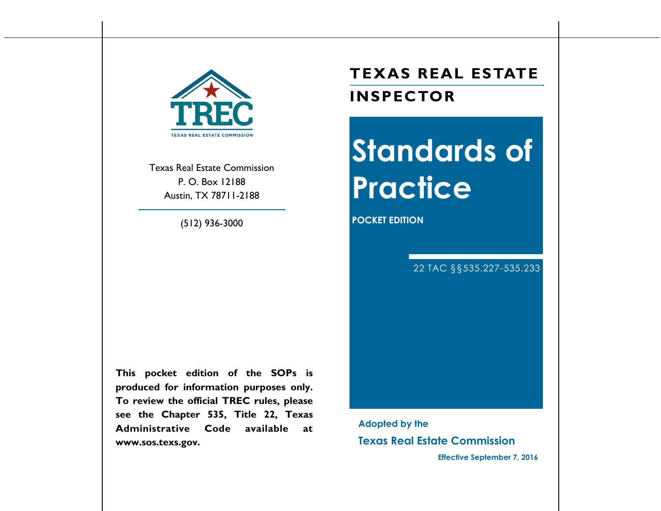

Texas Real Estate Commission P. O. Box 12188 Austin, TX 78711-2188

(512) 936-3000

**This pocket edition of the SOPs is produced for information purposes only. To review the official TREC rules, please see the Chapter 535, Title 22, Texas Administrative Code available at www.sos.texs.gov.** 

# **TEXAS REAL ESTATE INSPECTOR**

# **Standards of Practice**

**POCKET EDITION** 

22 TAC §§535.227-535.233

**Adopted by the Texas Real Estate Commission** 

**Effective September 7, 2016**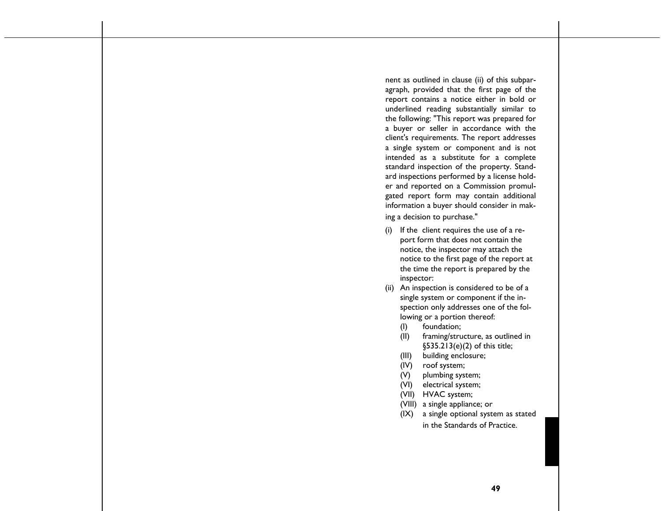nent as outlined in clause (ii) of this subpar agraph, provided that the first page of the report contains a notice either in bold or underlined reading substantially similar to the following: "This report was prepared for a buyer or seller in accordance with the client's requirements. The report addresses a single system or component and is not intended as a substitute for a complete standard inspection of the property. Standard inspections performed by a license holder and reported on a Commission promulgated report form may contain additional information a buyer should consider in making a decision to purchase."

- (i) If the client requires the use of a report form that does not contain the notice, the inspector may attach the notice to the first page of the report at the time the report is prepared by the inspector:
- (ii) An inspection is considered to be of a single system or component if the inspection only addresses one of the following or a portion thereof:
	- (I) foundation;
	- (II) framing/structure, as outlined in §535.213(e)(2) of this title;
	- (III) building enclosure;
	- (IV) roof system;
	- (V) plumbing system;
	- (VI) electrical system;
	- (VII) HVAC system;
	- (VIII) a single appliance; or
	- (IX) a single optional system as stated in the Standards of Practice.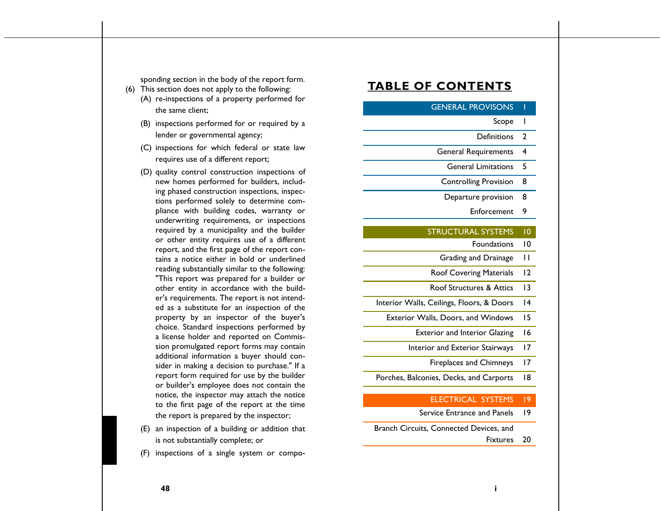sponding section in the body of the report form.

- (6) This section does not apply to the following:
	- (A) re-inspections of a property performed for the same client;
	- (B) inspections performed for or required by a lender or governmental agency;
	- (C) inspections for which federal or state law requires use of a different report;
	- (D) quality control construction inspections of new homes performed for builders, including phased construction inspections, inspections performed solely to determine compliance with building codes, warranty or underwriting requirements, or inspections required by a municipality and the builder or other entity requires use of a different report, and the first page of the report contains a notice either in bold or underlined reading substantially similar to the following: "This report was prepared for a builder or other entity in accordance with the builder's requirements. The report is not intended as a substitute for an inspection of the property by an inspector of the buyer's choice. Standard inspections performed by a license holder and reported on Commission promulgated report forms may contain additional information a buyer should consider in making a decision to purchase." If a report form required for use by the builder or builder's employee does not contain the notice, the inspector may attach the notice to the first page of the report at the time the report is prepared by the inspector;
	- (E) an inspection of a building or addition that is not substantially complete; or
	- (F) inspections of a single system or compo-

# **TABLE OF CONTENTS**

# **GENERAL PROVISONS**

#### Scope 1

- Definitions 2
- General Requirements 4
	- General Limitations 5
	- Controlling Provision 8
	- Departure provision 8
		- Enforcement 9

# STRUCTURAL SYSTEMS 10

- Foundations 10 Grading and Drainage 11
- Roof Covering Materials 12
- Roof Structures & Attics 13
- Interior Walls, Ceilings, Floors, & Doors 14
- Exterior Walls, Doors, and Windows 15
	- Exterior and Interior Glazing 16
	- Interior and Exterior Stairways 17
		- Fireplaces and Chimneys 17
- Porches, Balconies, Decks, and Carports 18

### ELECTRICAL SYSTEMS 19

Service Entrance and Panels 19

Branch Circuits, Connected Devices, and

Fixtures 20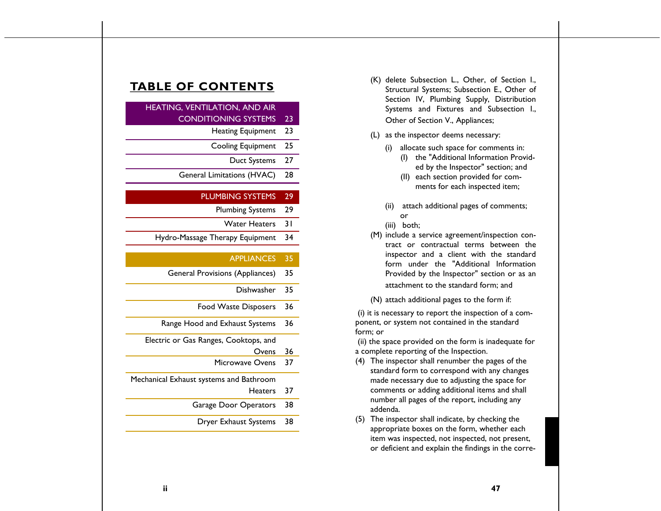# **TABLE OF CONTENTS**

# HEATING, VENTILATION, AND AIR CONDITIONING SYSTEMS 23

- Heating Equipment 23
- Cooling Equipment 25
	- Duct Systems 27
- General Limitations (HVAC) 28

### PLUMBING SYSTEMS 29

- Plumbing Systems 29
	- Water Heaters 31
- Hydro-Massage Therapy Equipment 34

# APPLIANCES 35

- General Provisions (Appliances) 35
	- Dishwasher 35
	- Food Waste Disposers 36
- Range Hood and Exhaust Systems 36

Electric or Gas Ranges, Cooktops, and

| Ovens                                   | 36 |
|-----------------------------------------|----|
| Microwave Ovens                         | 37 |
| Mechanical Exhaust systems and Bathroom |    |
| Heaters                                 | 37 |
| Garage Door Operators                   | 38 |
| Dryer Exhaust Systems                   | 38 |

- (K) delete Subsection L., Other, of Section I., Structural Systems; Subsection E., Other of Section IV, Plumbing Supply, Distribution Systems and Fixtures and Subsection I., Other of Section V., Appliances;
- (L) as the inspector deems necessary:
	- (i) allocate such space for comments in: (I) the "Additional Information Provid
		- ed by the Inspector" section; and (II) each section provided for com-
		- ments for each inspected item;
	- (ii) attach additional pages of comments; or
	- (iii) both;
- (M) include a service agreement/inspection contract or contractual terms between the inspector and a client with the standard form under the "Additional Information Provided by the Inspector" section or as an attachment to the standard form; and

(N) attach additional pages to the form if:

(i) it is necessary to report the inspection of a component, or system not contained in the standard form; or

(ii) the space provided on the form is inadequate for a complete reporting of the Inspection.

- (4) The inspector shall renumber the pages of the standard form to correspond with any changes made necessary due to adjusting the space for comments or adding additional items and shall number all pages of the report, including any addenda.
- (5) The inspector shall indicate, by checking the appropriate boxes on the form, whether each item was inspected, not inspected, not present, or deficient and explain the findings in the corre-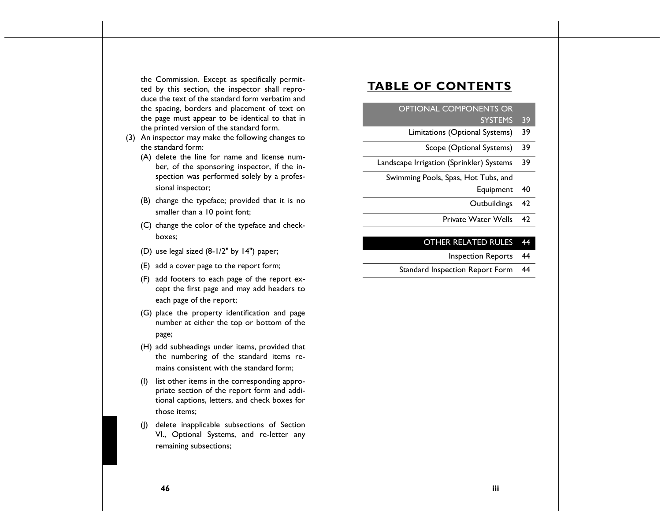the Commission. Except as specifically permitted by this section, the inspector shall reproduce the text of the standard form verbatim and the spacing, borders and placement of text on the page must appear to be identical to that in the printed version of the standard form.

- (3) An inspector may make the following changes to the standard form:
	- (A) delete the line for name and license number, of the sponsoring inspector, if the inspection was performed solely by a professional inspector;
	- (B) change the typeface; provided that it is no smaller than a 10 point font;
	- (C) change the color of the typeface and checkboxes;
	- (D) use legal sized (8-1/2" by 14") paper;
	- (E) add a cover page to the report form;
	- (F) add footers to each page of the report except the first page and may add headers to each page of the report;
	- (G) place the property identification and page number at either the top or bottom of the page;
	- (H) add subheadings under items, provided that the numbering of the standard items remains consistent with the standard form;
	- (I) list other items in the corresponding appropriate section of the report form and additional captions, letters, and check boxes for those items;
	- (J) delete inapplicable subsections of Section VI., Optional Systems, and re-letter any remaining subsections;

# **TABLE OF CONTENTS**

# OPTIONAL COMPONENTS OR

# SYSTEMS 39

- Limitations (Optional Systems) 39
	- Scope (Optional Systems) 39
- Landscape Irrigation (Sprinkler) Systems 39

Swimming Pools, Spas, Hot Tubs, and

- Equipment 40
- Outbuildings 42
- Private Water Wells 42

# OTHER RELATED RULES 44

- Inspection Reports 44
- Standard Inspection Report Form 44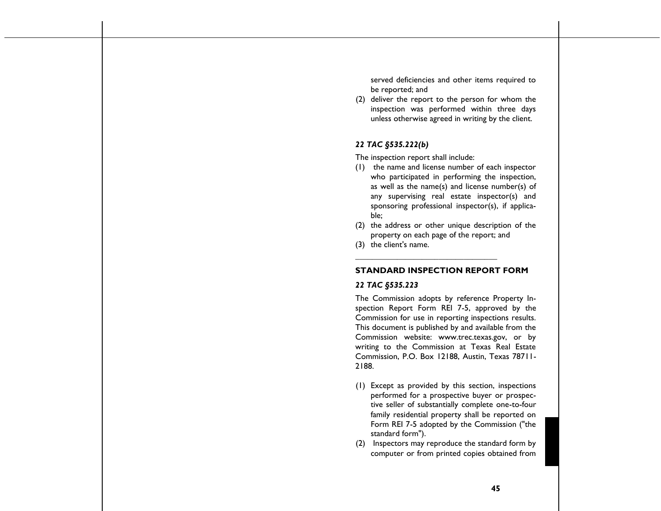served deficiencies and other items required to be reported; and

(2) deliver the report to the person for whom the inspection was performed within three days unless otherwise agreed in writing by the client.

### *22 TAC §535.222(b)*

The inspection report shall include:

- (1) the name and license number of each inspector who participated in performing the inspection, as well as the name(s) and license number(s) of any supervising real estate inspector(s) and sponsoring professional inspector(s), if applicable;
- (2) the address or other unique description of the property on each page of the report; and
- (3) the client's name.

### **STANDARD INSPECTION REPORT FORM**

**\_\_\_\_\_\_\_\_\_\_\_\_\_\_\_\_\_\_\_\_\_\_\_\_\_\_\_\_\_\_\_\_\_\_**

### *22 TAC §535.223*

The Commission adopts by reference Property Inspection Report Form REI 7-5, approved by the Commission for use in reporting inspections results. This document is published by and available from the Commission website: www.trec.texas.gov, or by writing to the Commission at Texas Real Estate Commission, P.O. Box 12188, Austin, Texas 78711- 2188.

- (1) Except as provided by this section, inspections performed for a prospective buyer or prospective seller of substantially complete one-to-four family residential property shall be reported on Form REI 7-5 adopted by the Commission ("the standard form").
- (2) Inspectors may reproduce the standard form by computer or from printed copies obtained from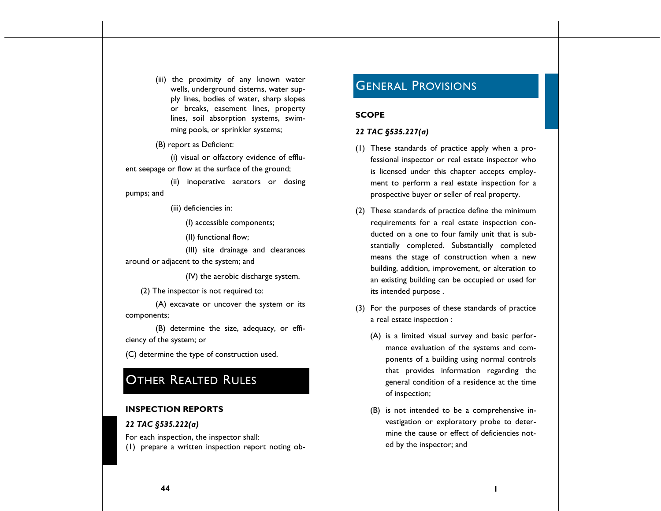(iii) the proximity of any known water wells, underground cisterns, water supply lines, bodies of water, sharp slopes or breaks, easement lines, property lines, soil absorption systems, swimming pools, or sprinkler systems;

(B) report as Deficient:

(i) visual or olfactory evidence of effluent seepage or flow at the surface of the ground;

(ii) inoperative aerators or dosing pumps; and

(iii) deficiencies in:

(I) accessible components;

(II) functional flow;

(III) site drainage and clearances around or adjacent to the system; and

(IV) the aerobic discharge system.

(2) The inspector is not required to:

(A) excavate or uncover the system or its components;

(B) determine the size, adequacy, or efficiency of the system; or

(C) determine the type of construction used.

# **OTHER REALTED RULES**

### **INSPECTION REPORTS**

### *22 TAC §535.222(a)*

For each inspection, the inspector shall: (1) prepare a written inspection report noting ob-

# GENERAL PROVISIONS

### **SCOPE**

### *22 TAC §535.227(a)*

- (1) These standards of practice apply when a professional inspector or real estate inspector who is licensed under this chapter accepts employment to perform a real estate inspection for a prospective buyer or seller of real property.
- (2) These standards of practice define the minimum requirements for a real estate inspection conducted on a one to four family unit that is substantially completed. Substantially completed means the stage of construction when a new building, addition, improvement, or alteration to an existing building can be occupied or used for its intended purpose .
- (3) For the purposes of these standards of practice a real estate inspection :
	- (A) is a limited visual survey and basic performance evaluation of the systems and components of a building using normal controls that provides information regarding the general condition of a residence at the time of inspection;
	- (B) is not intended to be a comprehensive investigation or exploratory probe to determine the cause or effect of deficiencies noted by the inspector; and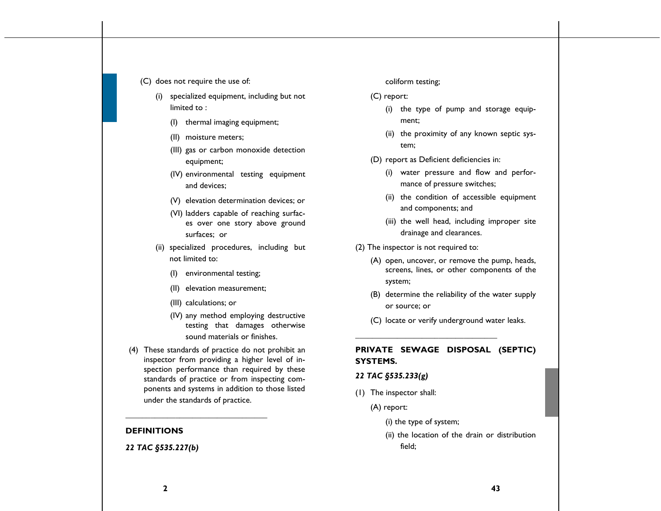### (C) does not require the use of:

- (i) specialized equipment, including but not limited to :
	- (I) thermal imaging equipment;
	- (II) moisture meters;
	- (III) gas or carbon monoxide detection equipment;
	- (IV) environmental testing equipment and devices;
	- (V) elevation determination devices; or
	- (VI) ladders capable of reaching surfaces over one story above ground surfaces; or
- (ii) specialized procedures, including but not limited to:
	- (I) environmental testing;
	- (II) elevation measurement;
	- (III) calculations; or
	- (IV) any method employing destructive testing that damages otherwise sound materials or finishes.
- (4) These standards of practice do not prohibit an inspector from providing a higher level of inspection performance than required by these standards of practice or from inspecting components and systems in addition to those listed under the standards of practice.

**\_\_\_\_\_\_\_\_\_\_\_\_\_\_\_\_\_\_\_\_\_\_\_\_\_\_\_\_\_\_\_\_\_\_**

# **DEFINITIONS**

### *22 TAC §535.227(b)*

### coliform testing;

- (C) report:
	- (i) the type of pump and storage equipment;
	- (ii) the proximity of any known septic system;
- (D) report as Deficient deficiencies in:
	- (i) water pressure and flow and performance of pressure switches;
	- (ii) the condition of accessible equipment and components; and
	- (iii) the well head, including improper site drainage and clearances.
- (2) The inspector is not required to:
	- (A) open, uncover, or remove the pump, heads, screens, lines, or other components of the system;
	- (B) determine the reliability of the water supply or source; or
	- (C) locate or verify underground water leaks.

# **PRIVATE SEWAGE DISPOSAL (SEPTIC) SYSTEMS.**

### *22 TAC §535.233(g)*

- (1) The inspector shall:
	- (A) report:
		- (i) the type of system;

**\_\_\_\_\_\_\_\_\_\_\_\_\_\_\_\_\_\_\_\_\_\_\_\_\_\_\_\_\_\_\_\_\_\_**

(ii) the location of the drain or distribution field;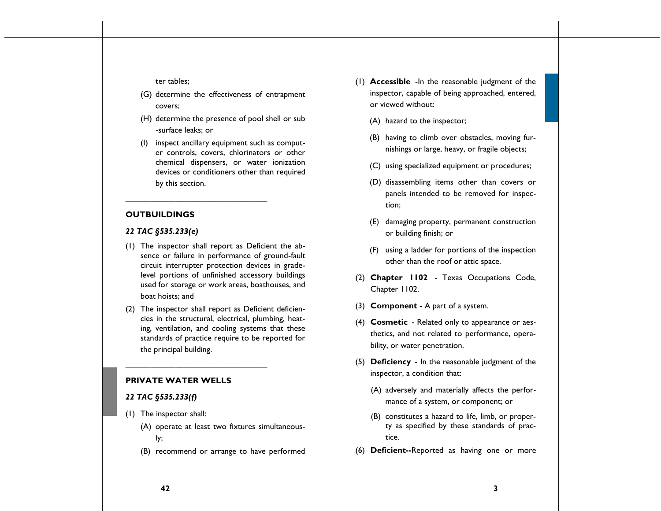ter tables;

- (G) determine the effectiveness of entrapment covers;
- (H) determine the presence of pool shell or sub -surface leaks; or
- (I) inspect ancillary equipment such as computer controls, covers, chlorinators or other chemical dispensers, or water ionization devices or conditioners other than required by this section.

### **OUTBUILDINGS**

### *22 TAC §535.233(e)*

(1) The inspector shall report as Deficient the absence or failure in performance of ground-fault circuit interrupter protection devices in gradelevel portions of unfinished accessory buildings used for storage or work areas, boathouses, and boat hoists; and

**\_\_\_\_\_\_\_\_\_\_\_\_\_\_\_\_\_\_\_\_\_\_\_\_\_\_\_\_\_\_\_\_\_\_**

(2) The inspector shall report as Deficient deficiencies in the structural, electrical, plumbing, heating, ventilation, and cooling systems that these standards of practice require to be reported for the principal building.

### **PRIVATE WATER WELLS**

**\_\_\_\_\_\_\_\_\_\_\_\_\_\_\_\_\_\_\_\_\_\_\_\_\_\_\_\_\_\_\_\_\_\_**

### *22 TAC §535.233(f)*

- (1) The inspector shall:
	- (A) operate at least two fixtures simultaneously;
	- (B) recommend or arrange to have performed
- (1) **Accessible** -In the reasonable judgment of the inspector, capable of being approached, entered, or viewed without:
	- (A) hazard to the inspector;
	- (B) having to climb over obstacles, moving furnishings or large, heavy, or fragile objects;
	- (C) using specialized equipment or procedures;
	- (D) disassembling items other than covers or panels intended to be removed for inspection;
	- (E) damaging property, permanent construction or building finish; or
	- (F) using a ladder for portions of the inspection other than the roof or attic space.
- (2) **Chapter 1102**  Texas Occupations Code, Chapter 1102.
- (3) **Component**  A part of a system.
- (4) **Cosmetic**  Related only to appearance or aesthetics, and not related to performance, operability, or water penetration.
- (5) **Deficiency**  In the reasonable judgment of the inspector, a condition that:
	- (A) adversely and materially affects the performance of a system, or component; or
	- (B) constitutes a hazard to life, limb, or property as specified by these standards of practice.
- (6) **Deficient--**Reported as having one or more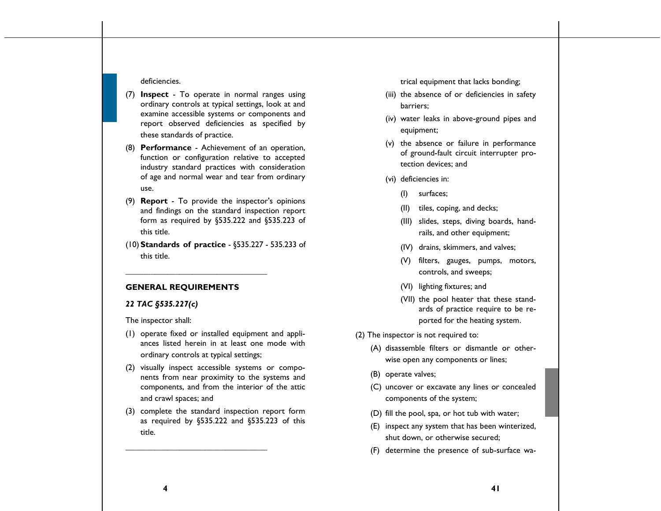### deficiencies.

- (7) **Inspect** To operate in normal ranges using ordinary controls at typical settings, look at and examine accessible systems or components and report observed deficiencies as specified by these standards of practice.
- (8) **Performance** Achievement of an operation, function or configuration relative to accepted industry standard practices with consideration of age and normal wear and tear from ordinary use.
- (9) **Report** To provide the inspector's opinions and findings on the standard inspection report form as required by §535.222 and §535.223 of this title.
- (10)**Standards of practice** §535.227 535.233 of this title.

### **GENERAL REQUIREMENTS**

**\_\_\_\_\_\_\_\_\_\_\_\_\_\_\_\_\_\_\_\_\_\_\_\_\_\_\_\_\_\_\_\_\_\_**

### *22 TAC §535.227(c)*

The inspector shall:

- (1) operate fixed or installed equipment and appliances listed herein in at least one mode with ordinary controls at typical settings;
- (2) visually inspect accessible systems or components from near proximity to the systems and components, and from the interior of the attic and crawl spaces; and
- (3) complete the standard inspection report form as required by §535.222 and §535.223 of this title.

**\_\_\_\_\_\_\_\_\_\_\_\_\_\_\_\_\_\_\_\_\_\_\_\_\_\_\_\_\_\_\_\_\_\_**

trical equipment that lacks bonding;

- (iii) the absence of or deficiencies in safety barriers;
- (iv) water leaks in above-ground pipes and equipment;
- (v) the absence or failure in performance of ground-fault circuit interrupter protection devices; and
- (vi) deficiencies in:
	- (I) surfaces;
	- (II) tiles, coping, and decks;
	- (III) slides, steps, diving boards, handrails, and other equipment;
	- (IV) drains, skimmers, and valves;
	- (V) filters, gauges, pumps, motors, controls, and sweeps;
	- (VI) lighting fixtures; and
	- (VII) the pool heater that these standards of practice require to be reported for the heating system.
- (2) The inspector is not required to:
	- (A) disassemble filters or dismantle or otherwise open any components or lines;
	- (B) operate valves;
	- (C) uncover or excavate any lines or concealed components of the system;
	- (D) fill the pool, spa, or hot tub with water;
	- (E) inspect any system that has been winterized, shut down, or otherwise secured;
	- (F) determine the presence of sub-surface wa-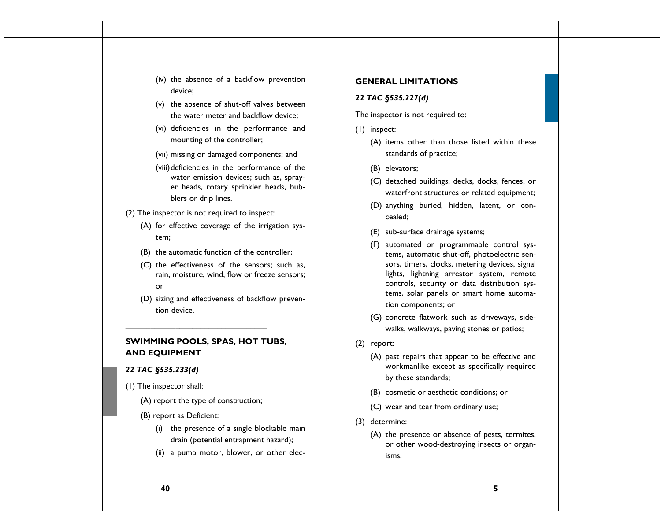- (iv) the absence of a backflow prevention device;
- (v) the absence of shut-off valves between the water meter and backflow device;
- (vi) deficiencies in the performance and mounting of the controller;
- (vii) missing or damaged components; and
- (viii) deficiencies in the performance of the water emission devices; such as, sprayer heads, rotary sprinkler heads, bubblers or drip lines.
- (2) The inspector is not required to inspect:
	- (A) for effective coverage of the irrigation system;
	- (B) the automatic function of the controller;
	- (C) the effectiveness of the sensors; such as, rain, moisture, wind, flow or freeze sensors; or
	- (D) sizing and effectiveness of backflow prevention device.

# **SWIMMING POOLS, SPAS, HOT TUBS, AND EQUIPMENT**

**\_\_\_\_\_\_\_\_\_\_\_\_\_\_\_\_\_\_\_\_\_\_\_\_\_\_\_\_\_\_\_\_\_\_**

### *22 TAC §535.233(d)*

- (1) The inspector shall:
	- (A) report the type of construction;
	- (B) report as Deficient:
		- (i) the presence of a single blockable main drain (potential entrapment hazard);
		- (ii) a pump motor, blower, or other elec-

### **GENERAL LIMITATIONS**

### *22 TAC §535.227(d)*

The inspector is not required to:

- (1) inspect:
	- (A) items other than those listed within these standards of practice;
	- (B) elevators;
	- (C) detached buildings, decks, docks, fences, or waterfront structures or related equipment;
	- (D) anything buried, hidden, latent, or concealed;
	- (E) sub-surface drainage systems;
	- (F) automated or programmable control systems, automatic shut-off, photoelectric sensors, timers, clocks, metering devices, signal lights, lightning arrestor system, remote controls, security or data distribution systems, solar panels or smart home automation components; or
	- (G) concrete flatwork such as driveways, sidewalks, walkways, paving stones or patios;
- (2) report:
	- (A) past repairs that appear to be effective and workmanlike except as specifically required by these standards;
	- (B) cosmetic or aesthetic conditions; or
	- (C) wear and tear from ordinary use;
- (3) determine:
	- (A) the presence or absence of pests, termites, or other wood-destroying insects or organisms;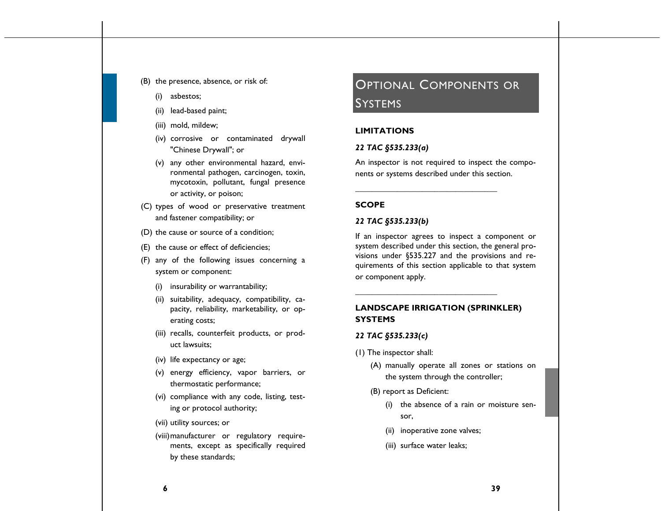- (B) the presence, absence, or risk of:
	- (i) asbestos;
	- (ii) lead-based paint;
	- (iii) mold, mildew;
	- (iv) corrosive or contaminated drywall "Chinese Drywall"; or
	- (v) any other environmental hazard, environmental pathogen, carcinogen, toxin, mycotoxin, pollutant, fungal presence or activity, or poison;
- (C) types of wood or preservative treatment and fastener compatibility; or
- (D) the cause or source of a condition;
- (E) the cause or effect of deficiencies;
- (F) any of the following issues concerning a system or component:
	- (i) insurability or warrantability;
	- (ii) suitability, adequacy, compatibility, capacity, reliability, marketability, or operating costs;
	- (iii) recalls, counterfeit products, or product lawsuits;
	- (iv) life expectancy or age;
	- (v) energy efficiency, vapor barriers, or thermostatic performance;
	- (vi) compliance with any code, listing, testing or protocol authority;
	- (vii) utility sources; or
	- (viii)manufacturer or regulatory requirements, except as specifically required by these standards;

# OPTIONAL COMPONENTS OR SYSTEMS

### **LIMITATIONS**

### *22 TAC §535.233(a)*

An inspector is not required to inspect the components or systems described under this section.

**\_\_\_\_\_\_\_\_\_\_\_\_\_\_\_\_\_\_\_\_\_\_\_\_\_\_\_\_\_\_\_\_\_\_**

### **SCOPE**

### *22 TAC §535.233(b)*

If an inspector agrees to inspect a component or system described under this section, the general provisions under §535.227 and the provisions and requirements of this section applicable to that system or component apply.

# **LANDSCAPE IRRIGATION (SPRINKLER) SYSTEMS**

**\_\_\_\_\_\_\_\_\_\_\_\_\_\_\_\_\_\_\_\_\_\_\_\_\_\_\_\_\_\_\_\_\_\_**

### *22 TAC §535.233(c)*

- (1) The inspector shall:
	- (A) manually operate all zones or stations on the system through the controller;

(B) report as Deficient:

- (i) the absence of a rain or moisture sensor,
- (ii) inoperative zone valves;
- (iii) surface water leaks;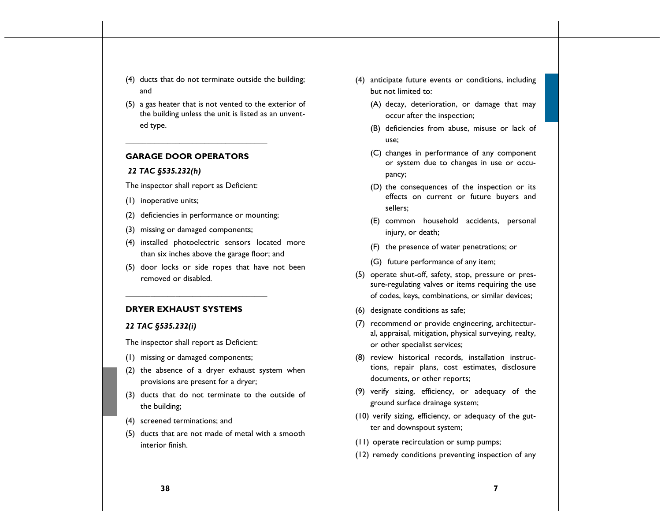- (4) ducts that do not terminate outside the building; and
- (5) a gas heater that is not vented to the exterior of the building unless the unit is listed as an unvented type.

### **GARAGE DOOR OPERATORS**

**\_\_\_\_\_\_\_\_\_\_\_\_\_\_\_\_\_\_\_\_\_\_\_\_\_\_\_\_\_\_\_\_\_\_**

### *22 TAC §535.232(h)*

The inspector shall report as Deficient:

- (1) inoperative units;
- (2) deficiencies in performance or mounting;
- (3) missing or damaged components;
- (4) installed photoelectric sensors located more than six inches above the garage floor; and
- (5) door locks or side ropes that have not been removed or disabled.

### **DRYER EXHAUST SYSTEMS**

### *22 TAC §535.232(i)*

The inspector shall report as Deficient:

**\_\_\_\_\_\_\_\_\_\_\_\_\_\_\_\_\_\_\_\_\_\_\_\_\_\_\_\_\_\_\_\_\_\_**

- (1) missing or damaged components;
- (2) the absence of a dryer exhaust system when provisions are present for a dryer;
- (3) ducts that do not terminate to the outside of the building;
- (4) screened terminations; and
- (5) ducts that are not made of metal with a smooth interior finish.
- (4) anticipate future events or conditions, including but not limited to:
	- (A) decay, deterioration, or damage that may occur after the inspection;
	- (B) deficiencies from abuse, misuse or lack of use;
	- (C) changes in performance of any component or system due to changes in use or occupancy;
	- (D) the consequences of the inspection or its effects on current or future buyers and sellers;
	- (E) common household accidents, personal injury, or death;
	- (F) the presence of water penetrations; or
	- (G) future performance of any item;
- (5) operate shut-off, safety, stop, pressure or pressure-regulating valves or items requiring the use of codes, keys, combinations, or similar devices;
- (6) designate conditions as safe;
- (7) recommend or provide engineering, architectural, appraisal, mitigation, physical surveying, realty, or other specialist services;
- (8) review historical records, installation instructions, repair plans, cost estimates, disclosure documents, or other reports;
- (9) verify sizing, efficiency, or adequacy of the ground surface drainage system;
- (10) verify sizing, efficiency, or adequacy of the gutter and downspout system;
- (11) operate recirculation or sump pumps;
- (12) remedy conditions preventing inspection of any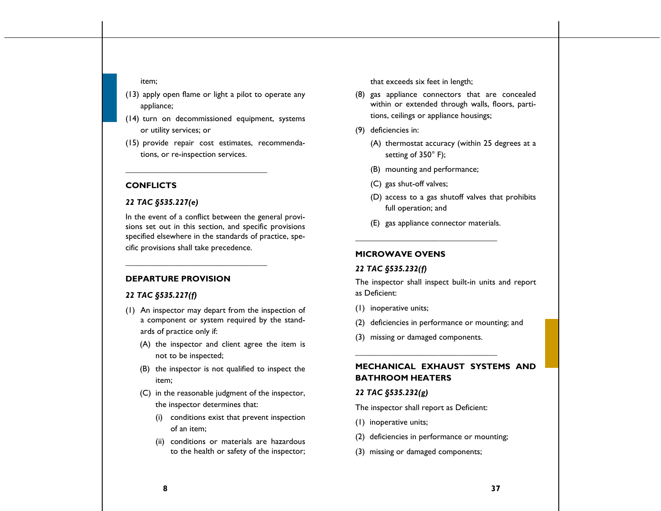#### item;

- (13) apply open flame or light a pilot to operate any appliance;
- (14) turn on decommissioned equipment, systems or utility services; or
- (15) provide repair cost estimates, recommendations, or re-inspection services.

**\_\_\_\_\_\_\_\_\_\_\_\_\_\_\_\_\_\_\_\_\_\_\_\_\_\_\_\_\_\_\_\_\_\_**

**\_\_\_\_\_\_\_\_\_\_\_\_\_\_\_\_\_\_\_\_\_\_\_\_\_\_\_\_\_\_\_\_\_\_**

### **CONFLICTS**

### *22 TAC §535.227(e)*

In the event of a conflict between the general provisions set out in this section, and specific provisions specified elsewhere in the standards of practice, specific provisions shall take precedence.

### **DEPARTURE PROVISION**

# *22 TAC §535.227(f)*

- (1) An inspector may depart from the inspection of a component or system required by the standards of practice only if:
	- (A) the inspector and client agree the item is not to be inspected;
	- (B) the inspector is not qualified to inspect the item;
	- (C) in the reasonable judgment of the inspector, the inspector determines that:
		- (i) conditions exist that prevent inspection of an item;
		- (ii) conditions or materials are hazardous to the health or safety of the inspector;

that exceeds six feet in length;

- (8) gas appliance connectors that are concealed within or extended through walls, floors, partitions, ceilings or appliance housings;
- (9) deficiencies in:
	- (A) thermostat accuracy (within 25 degrees at a setting of 350° F);
	- (B) mounting and performance;
	- (C) gas shut-off valves;
	- (D) access to a gas shutoff valves that prohibits full operation; and
	- (E) gas appliance connector materials.

**\_\_\_\_\_\_\_\_\_\_\_\_\_\_\_\_\_\_\_\_\_\_\_\_\_\_\_\_\_\_\_\_\_\_**

### **MICROWAVE OVENS**

### *22 TAC §535.232(f)*

The inspector shall inspect built-in units and report as Deficient:

- (1) inoperative units;
- (2) deficiencies in performance or mounting; and
- (3) missing or damaged components.

**\_\_\_\_\_\_\_\_\_\_\_\_\_\_\_\_\_\_\_\_\_\_\_\_\_\_\_\_\_\_\_\_\_\_**

# **MECHANICAL EXHAUST SYSTEMS AND BATHROOM HEATERS**

### *22 TAC §535.232(g)*

The inspector shall report as Deficient:

- (1) inoperative units;
- (2) deficiencies in performance or mounting;
- (3) missing or damaged components;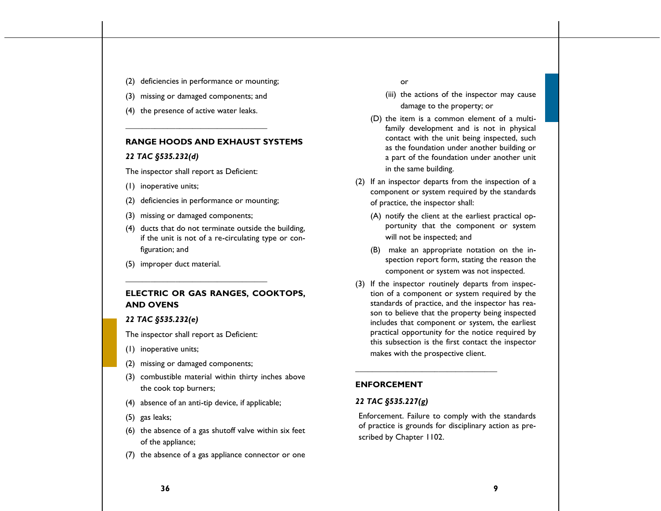- (2) deficiencies in performance or mounting;
- (3) missing or damaged components; and

**\_\_\_\_\_\_\_\_\_\_\_\_\_\_\_\_\_\_\_\_\_\_\_\_\_\_\_\_\_\_\_\_\_\_**

(4) the presence of active water leaks.

### **RANGE HOODS AND EXHAUST SYSTEMS**

#### *22 TAC §535.232(d)*

The inspector shall report as Deficient:

- (1) inoperative units;
- (2) deficiencies in performance or mounting;
- (3) missing or damaged components;
- (4) ducts that do not terminate outside the building, if the unit is not of a re-circulating type or configuration; and
- (5) improper duct material.

# **ELECTRIC OR GAS RANGES, COOKTOPS, AND OVENS**

### *22 TAC §535.232(e)*

The inspector shall report as Deficient:

**\_\_\_\_\_\_\_\_\_\_\_\_\_\_\_\_\_\_\_\_\_\_\_\_\_\_\_\_\_\_\_\_\_\_**

- (1) inoperative units;
- (2) missing or damaged components;
- (3) combustible material within thirty inches above the cook top burners;
- (4) absence of an anti-tip device, if applicable;
- (5) gas leaks;
- (6) the absence of a gas shutoff valve within six feet of the appliance;
- (7) the absence of a gas appliance connector or one

or

- (iii) the actions of the inspector may cause damage to the property; or
- (D) the item is a common element of a multifamily development and is not in physical contact with the unit being inspected, such as the foundation under another building or a part of the foundation under another unit in the same building.
- (2) If an inspector departs from the inspection of a component or system required by the standards of practice, the inspector shall:
	- (A) notify the client at the earliest practical opportunity that the component or system will not be inspected; and
	- (B) make an appropriate notation on the inspection report form, stating the reason the component or system was not inspected.
- (3) If the inspector routinely departs from inspection of a component or system required by the standards of practice, and the inspector has reason to believe that the property being inspected includes that component or system, the earliest practical opportunity for the notice required by this subsection is the first contact the inspector makes with the prospective client.

**\_\_\_\_\_\_\_\_\_\_\_\_\_\_\_\_\_\_\_\_\_\_\_\_\_\_\_\_\_\_\_\_\_\_**

### **ENFORCEMENT**

### *22 TAC §535.227(g)*

Enforcement. Failure to comply with the standards of practice is grounds for disciplinary action as prescribed by Chapter 1102.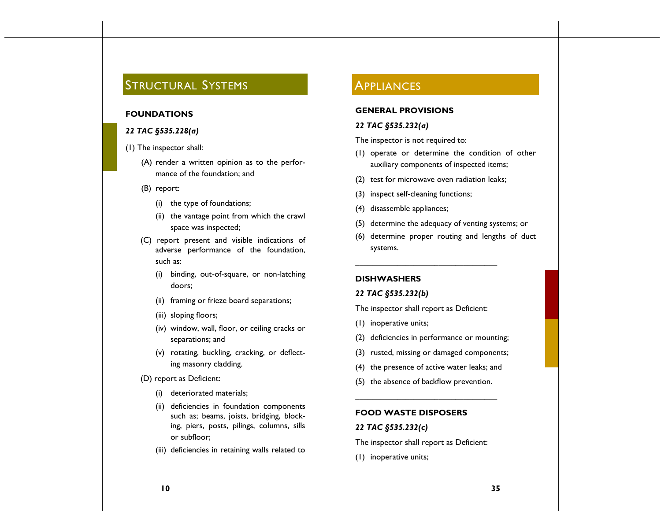# STRUCTURAL SYSTEMS

### **FOUNDATIONS**

### *22 TAC §535.228(a)*

- (1) The inspector shall:
	- (A) render a written opinion as to the performance of the foundation; and
	- (B) report:
		- (i) the type of foundations;
		- (ii) the vantage point from which the crawl space was inspected;
	- (C) report present and visible indications of adverse performance of the foundation, such as:
		- (i) binding, out-of-square, or non-latching doors;
		- (ii) framing or frieze board separations;
		- (iii) sloping floors;
		- (iv) window, wall, floor, or ceiling cracks or separations; and
		- (v) rotating, buckling, cracking, or deflecting masonry cladding.
	- (D) report as Deficient:
		- (i) deteriorated materials;
		- (ii) deficiencies in foundation components such as; beams, joists, bridging, blocking, piers, posts, pilings, columns, sills or subfloor;
		- (iii) deficiencies in retaining walls related to

# **APPLIANCES**

### **GENERAL PROVISIONS**

### *22 TAC §535.232(a)*

The inspector is not required to:

- (1) operate or determine the condition of other auxiliary components of inspected items;
- (2) test for microwave oven radiation leaks;
- (3) inspect self-cleaning functions;
- (4) disassemble appliances;
- (5) determine the adequacy of venting systems; or
- (6) determine proper routing and lengths of duct systems.

### **DISHWASHERS**

### *22 TAC §535.232(b)*

The inspector shall report as Deficient:

**\_\_\_\_\_\_\_\_\_\_\_\_\_\_\_\_\_\_\_\_\_\_\_\_\_\_\_\_\_\_\_\_\_\_**

- (1) inoperative units;
- (2) deficiencies in performance or mounting;
- (3) rusted, missing or damaged components;
- (4) the presence of active water leaks; and
- (5) the absence of backflow prevention. **\_\_\_\_\_\_\_\_\_\_\_\_\_\_\_\_\_\_\_\_\_\_\_\_\_\_\_\_\_\_\_\_\_\_**

### **FOOD WASTE DISPOSERS**

### *22 TAC §535.232(c)*

The inspector shall report as Deficient:

(1) inoperative units;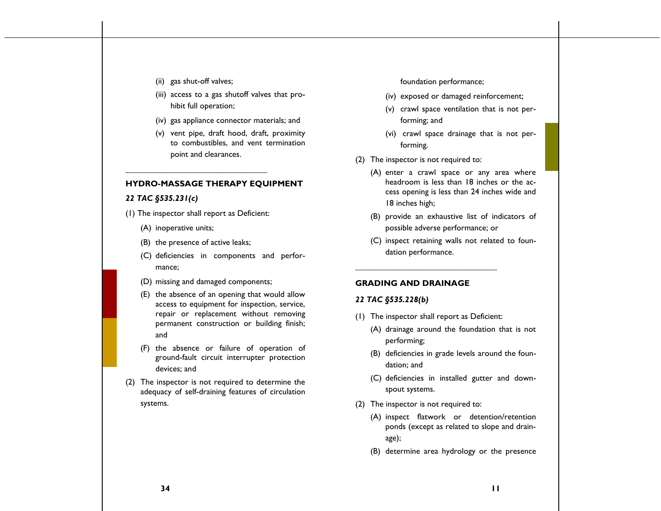- (ii) gas shut-off valves;
- (iii) access to a gas shutoff valves that prohibit full operation;
- (iv) gas appliance connector materials; and
- (v) vent pipe, draft hood, draft, proximity to combustibles, and vent termination point and clearances.

### **HYDRO-MASSAGE THERAPY EQUIPMENT**

# *22 TAC §535.231(c)*

(1) The inspector shall report as Deficient:

**\_\_\_\_\_\_\_\_\_\_\_\_\_\_\_\_\_\_\_\_\_\_\_\_\_\_\_\_\_\_\_\_\_\_**

- (A) inoperative units;
- (B) the presence of active leaks;
- (C) deficiencies in components and performance;
- (D) missing and damaged components;
- (E) the absence of an opening that would allow access to equipment for inspection, service, repair or replacement without removing permanent construction or building finish; and
- (F) the absence or failure of operation of ground-fault circuit interrupter protection devices; and
- (2) The inspector is not required to determine the adequacy of self-draining features of circulation systems.

foundation performance;

- (iv) exposed or damaged reinforcement;
- (v) crawl space ventilation that is not performing; and
- (vi) crawl space drainage that is not performing.
- (2) The inspector is not required to:
	- (A) enter a crawl space or any area where headroom is less than 18 inches or the access opening is less than 24 inches wide and 18 inches high;
	- (B) provide an exhaustive list of indicators of possible adverse performance; or
	- (C) inspect retaining walls not related to foundation performance.

### **GRADING AND DRAINAGE**

### *22 TAC §535.228(b)*

(1) The inspector shall report as Deficient:

**\_\_\_\_\_\_\_\_\_\_\_\_\_\_\_\_\_\_\_\_\_\_\_\_\_\_\_\_\_\_\_\_\_\_**

- (A) drainage around the foundation that is not performing;
- (B) deficiencies in grade levels around the foundation; and
- (C) deficiencies in installed gutter and downspout systems.
- (2) The inspector is not required to:
	- (A) inspect flatwork or detention/retention ponds (except as related to slope and drainage);
	- (B) determine area hydrology or the presence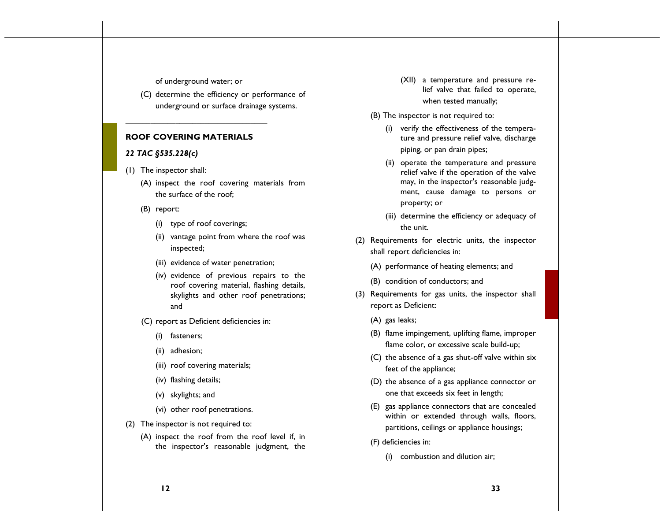### of underground water; or

**\_\_\_\_\_\_\_\_\_\_\_\_\_\_\_\_\_\_\_\_\_\_\_\_\_\_\_\_\_\_\_\_\_\_**

(C) determine the efficiency or performance of underground or surface drainage systems.

### **ROOF COVERING MATERIALS**

### *22 TAC §535.228(c)*

- (1) The inspector shall:
	- (A) inspect the roof covering materials from the surface of the roof;
	- (B) report:
		- (i) type of roof coverings;
		- (ii) vantage point from where the roof was inspected;
		- (iii) evidence of water penetration;
		- (iv) evidence of previous repairs to the roof covering material, flashing details, skylights and other roof penetrations; and
	- (C) report as Deficient deficiencies in:
		- (i) fasteners;
		- (ii) adhesion;
		- (iii) roof covering materials;
		- (iv) flashing details;
		- (v) skylights; and
		- (vi) other roof penetrations.
- (2) The inspector is not required to:
	- (A) inspect the roof from the roof level if, in the inspector's reasonable judgment, the

(XII) a temperature and pressure relief valve that failed to operate, when tested manually;

### (B) The inspector is not required to:

- (i) verify the effectiveness of the temperature and pressure relief valve, discharge piping, or pan drain pipes;
- (ii) operate the temperature and pressure relief valve if the operation of the valve may, in the inspector's reasonable judgment, cause damage to persons or property; or
- (iii) determine the efficiency or adequacy of the unit.
- (2) Requirements for electric units, the inspector shall report deficiencies in:
	- (A) performance of heating elements; and
	- (B) condition of conductors; and
- (3) Requirements for gas units, the inspector shall report as Deficient:
	- (A) gas leaks;
	- (B) flame impingement, uplifting flame, improper flame color, or excessive scale build-up;
	- (C) the absence of a gas shut-off valve within six feet of the appliance;
	- (D) the absence of a gas appliance connector or one that exceeds six feet in length;
	- (E) gas appliance connectors that are concealed within or extended through walls, floors, partitions, ceilings or appliance housings;
	- (F) deficiencies in:
		- (i) combustion and dilution air;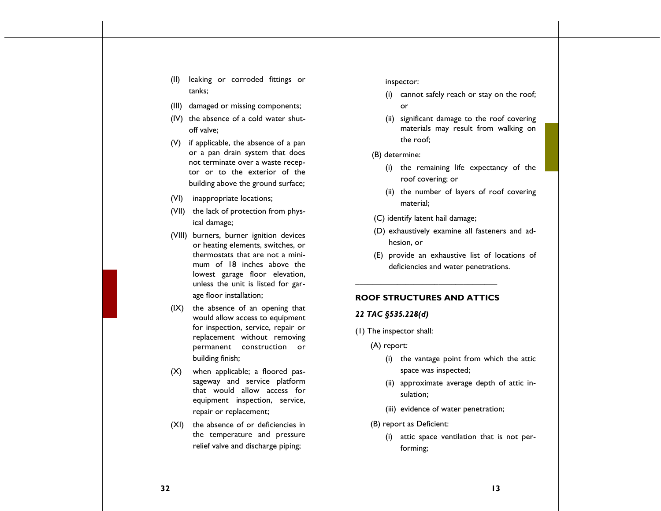(II) leaking or corroded fittings or tanks;

- (III) damaged or missing components;
- (IV) the absence of a cold water shutoff valve;
- (V) if applicable, the absence of a pan or a pan drain system that does not terminate over a waste receptor or to the exterior of the building above the ground surface;
- (VI) inappropriate locations;
- (VII) the lack of protection from physical damage;
- (VIII) burners, burner ignition devices or heating elements, switches, or thermostats that are not a minimum of 18 inches above the lowest garage floor elevation, unless the unit is listed for garage floor installation;
- (IX) the absence of an opening that would allow access to equipment for inspection, service, repair or replacement without removing permanent construction or building finish;
- (X) when applicable; a floored passageway and service platform that would allow access for equipment inspection, service, repair or replacement;
- (XI) the absence of or deficiencies in the temperature and pressure relief valve and discharge piping;

### inspector:

- (i) cannot safely reach or stay on the roof; or
- (ii) significant damage to the roof covering materials may result from walking on the roof;
- (B) determine:
	- (i) the remaining life expectancy of the roof covering; or
	- (ii) the number of layers of roof covering material;
- (C) identify latent hail damage;
- (D) exhaustively examine all fasteners and adhesion, or
- (E) provide an exhaustive list of locations of deficiencies and water penetrations.

# **\_\_\_\_\_\_\_\_\_\_\_\_\_\_\_\_\_\_\_\_\_\_\_\_\_\_\_\_\_\_\_\_\_\_ ROOF STRUCTURES AND ATTICS**

### *22 TAC §535.228(d)*

- (1) The inspector shall:
	- (A) report:
		- (i) the vantage point from which the attic space was inspected;
		- (ii) approximate average depth of attic insulation;
		- (iii) evidence of water penetration;
	- (B) report as Deficient:
		- (i) attic space ventilation that is not performing;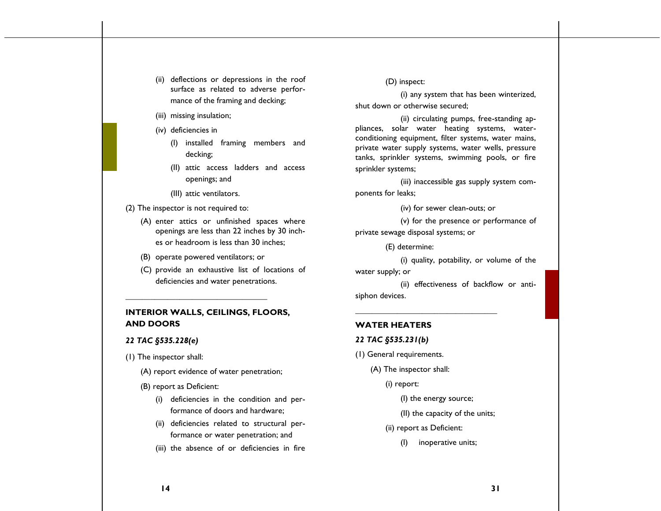- (ii) deflections or depressions in the roof surface as related to adverse performance of the framing and decking;
- (iii) missing insulation;
- (iv) deficiencies in
	- (I) installed framing members and decking;
	- (II) attic access ladders and access openings; and
	- (III) attic ventilators.
- (2) The inspector is not required to:
	- (A) enter attics or unfinished spaces where openings are less than 22 inches by 30 inches or headroom is less than 30 inches;
	- (B) operate powered ventilators; or

**\_\_\_\_\_\_\_\_\_\_\_\_\_\_\_\_\_\_\_\_\_\_\_\_\_\_\_\_\_\_\_\_\_\_**

(C) provide an exhaustive list of locations of deficiencies and water penetrations.

# **INTERIOR WALLS, CEILINGS, FLOORS, AND DOORS**

### *22 TAC §535.228(e)*

- (1) The inspector shall:
	- (A) report evidence of water penetration;
	- (B) report as Deficient:
		- (i) deficiencies in the condition and performance of doors and hardware;
		- (ii) deficiencies related to structural performance or water penetration; and
		- (iii) the absence of or deficiencies in fire

(D) inspect:

(i) any system that has been winterized, shut down or otherwise secured;

(ii) circulating pumps, free-standing appliances, solar water heating systems, waterconditioning equipment, filter systems, water mains, private water supply systems, water wells, pressure tanks, sprinkler systems, swimming pools, or fire sprinkler systems;

(iii) inaccessible gas supply system components for leaks;

(iv) for sewer clean-outs; or

(v) for the presence or performance of private sewage disposal systems; or

(E) determine:

(i) quality, potability, or volume of the water supply; or

(ii) effectiveness of backflow or antisiphon devices.

**\_\_\_\_\_\_\_\_\_\_\_\_\_\_\_\_\_\_\_\_\_\_\_\_\_\_\_\_\_\_\_\_\_\_**

### **WATER HEATERS**

### *22 TAC §535.231(b)*

- (1) General requirements.
	- (A) The inspector shall:
		- (i) report:

(I) the energy source;

- (II) the capacity of the units;
- (ii) report as Deficient:
	- (I) inoperative units;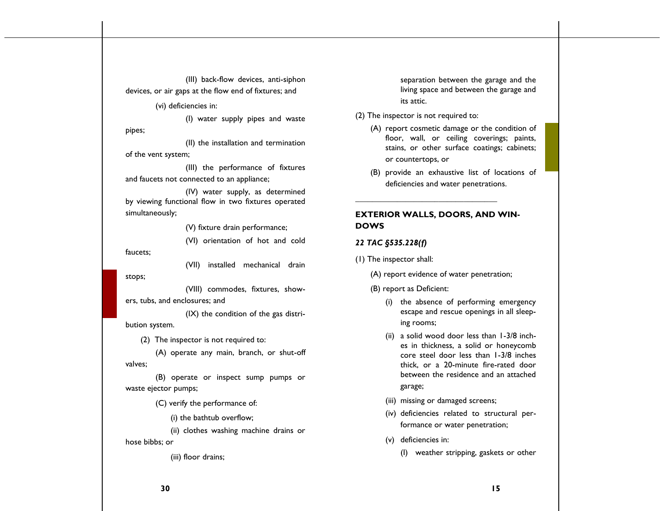(III) back-flow devices, anti-siphon devices, or air gaps at the flow end of fixtures; and

(vi) deficiencies in:

(I) water supply pipes and waste pipes;

(II) the installation and termination of the vent system;

(III) the performance of fixtures and faucets not connected to an appliance;

(IV) water supply, as determined by viewing functional flow in two fixtures operated simultaneously;

(V) fixture drain performance;

(VI) orientation of hot and cold faucets;

(VII) installed mechanical drain

(VIII) commodes, fixtures, showers, tubs, and enclosures; and

(IX) the condition of the gas distribution system.

(2) The inspector is not required to:

(A) operate any main, branch, or shut-off valves;

(B) operate or inspect sump pumps or waste ejector pumps;

(C) verify the performance of:

(i) the bathtub overflow;

(ii) clothes washing machine drains or hose bibbs; or

(iii) floor drains;

separation between the garage and the living space and between the garage and its attic.

#### (2) The inspector is not required to:

- (A) report cosmetic damage or the condition of floor, wall, or ceiling coverings; paints, stains, or other surface coatings; cabinets; or countertops, or
- (B) provide an exhaustive list of locations of deficiencies and water penetrations.

# **EXTERIOR WALLS, DOORS, AND WIN-DOWS**

**\_\_\_\_\_\_\_\_\_\_\_\_\_\_\_\_\_\_\_\_\_\_\_\_\_\_\_\_\_\_\_\_\_\_**

### *22 TAC §535.228(f)*

(1) The inspector shall:

(A) report evidence of water penetration;

(B) report as Deficient:

- (i) the absence of performing emergency escape and rescue openings in all sleeping rooms;
- (ii) a solid wood door less than 1-3/8 inches in thickness, a solid or honeycomb core steel door less than 1-3/8 inches thick, or a 20-minute fire-rated door between the residence and an attached garage;
- (iii) missing or damaged screens;
- (iv) deficiencies related to structural performance or water penetration;
- (v) deficiencies in:
	- (I) weather stripping, gaskets or other

stops;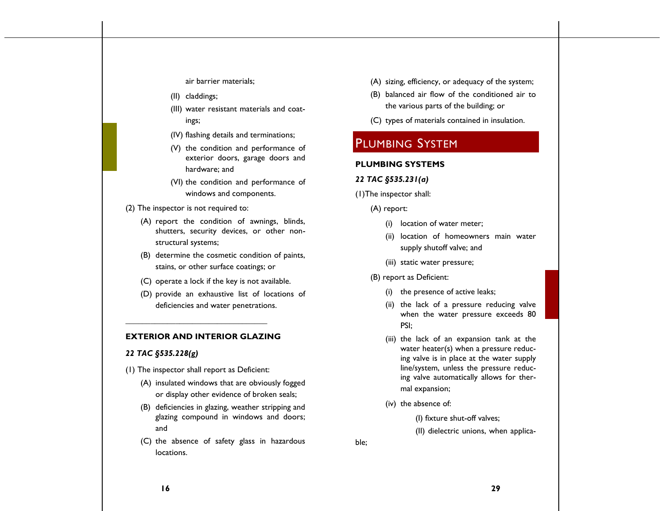air barrier materials;

- (II) claddings;
- (III) water resistant materials and coatings;
- (IV) flashing details and terminations;
- (V) the condition and performance of exterior doors, garage doors and hardware; and
- (VI) the condition and performance of windows and components.
- (2) The inspector is not required to:
	- (A) report the condition of awnings, blinds, shutters, security devices, or other nonstructural systems;
	- (B) determine the cosmetic condition of paints, stains, or other surface coatings; or
	- (C) operate a lock if the key is not available.
	- (D) provide an exhaustive list of locations of deficiencies and water penetrations.

### **EXTERIOR AND INTERIOR GLAZING**

**\_\_\_\_\_\_\_\_\_\_\_\_\_\_\_\_\_\_\_\_\_\_\_\_\_\_\_\_\_\_\_\_\_\_**

### *22 TAC §535.228(g)*

- (1) The inspector shall report as Deficient:
	- (A) insulated windows that are obviously fogged or display other evidence of broken seals;
	- (B) deficiencies in glazing, weather stripping and glazing compound in windows and doors; and
	- (C) the absence of safety glass in hazardous locations.
- (A) sizing, efficiency, or adequacy of the system;
- (B) balanced air flow of the conditioned air to the various parts of the building; or
- (C) types of materials contained in insulation.

# PLUMBING SYSTEM

### **PLUMBING SYSTEMS**

#### *22 TAC §535.231(a)*

- (1)The inspector shall:
	- (A) report:
		- (i) location of water meter;
		- (ii) location of homeowners main water supply shutoff valve; and
		- (iii) static water pressure;

### (B) report as Deficient:

- (i) the presence of active leaks;
- (ii) the lack of a pressure reducing valve when the water pressure exceeds 80 PSI;
- (iii) the lack of an expansion tank at the water heater(s) when a pressure reducing valve is in place at the water supply line/system, unless the pressure reducing valve automatically allows for thermal expansion;
- (iv) the absence of:

(I) fixture shut-off valves;

(II) dielectric unions, when applica-

ble;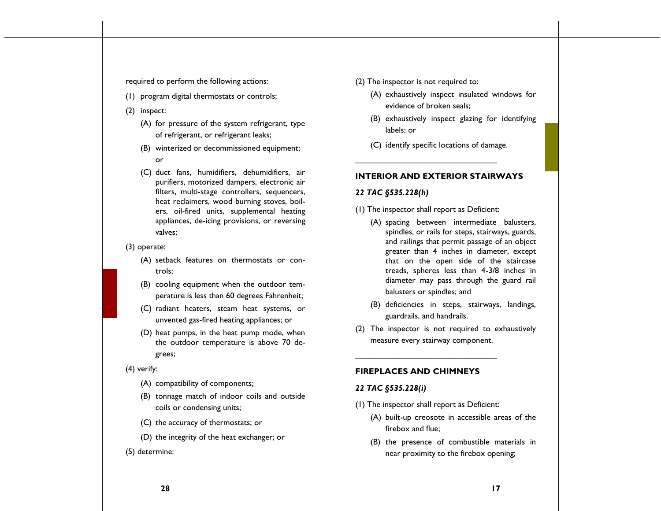required to perform the following actions:

- (1) program digital thermostats or controls;
- (2) inspect:
	- (A) for pressure of the system refrigerant, type of refrigerant, or refrigerant leaks;
	- (B) winterized or decommissioned equipment; or
	- (C) duct fans, humidifiers, dehumidifiers, air purifiers, motorized dampers, electronic air filters, multi-stage controllers, sequencers, heat reclaimers, wood burning stoves, boilers, oil-fired units, supplemental heating appliances, de-icing provisions, or reversing valves;
- (3) operate:
	- (A) setback features on thermostats or controls;
	- (B) cooling equipment when the outdoor temperature is less than 60 degrees Fahrenheit;
	- (C) radiant heaters, steam heat systems, or unvented gas-fired heating appliances; or
	- (D) heat pumps, in the heat pump mode, when the outdoor temperature is above 70 degrees;
- (4) verify:
	- (A) compatibility of components;
	- (B) tonnage match of indoor coils and outside coils or condensing units;
	- (C) the accuracy of thermostats; or
	- (D) the integrity of the heat exchanger; or
- (5) determine:
- (2) The inspector is not required to:
	- (A) exhaustively inspect insulated windows for evidence of broken seals;
	- (B) exhaustively inspect glazing for identifying labels; or
	- (C) identify specific locations of damage.

### **INTERIOR AND EXTERIOR STAIRWAYS**

### *22 TAC §535.228(h)*

(1) The inspector shall report as Deficient:

**\_\_\_\_\_\_\_\_\_\_\_\_\_\_\_\_\_\_\_\_\_\_\_\_\_\_\_\_\_\_\_\_\_\_**

- (A) spacing between intermediate balusters, spindles, or rails for steps, stairways, guards, and railings that permit passage of an object greater than 4 inches in diameter, except that on the open side of the staircase treads, spheres less than 4-3/8 inches in diameter may pass through the guard rail balusters or spindles; and
- (B) deficiencies in steps, stairways, landings, guardrails, and handrails.
- (2) The inspector is not required to exhaustively measure every stairway component.

### **FIREPLACES AND CHIMNEYS**

### *22 TAC §535.228(i)*

(1) The inspector shall report as Deficient:

**\_\_\_\_\_\_\_\_\_\_\_\_\_\_\_\_\_\_\_\_\_\_\_\_\_\_\_\_\_\_\_\_\_\_**

- (A) built-up creosote in accessible areas of the firebox and flue;
- (B) the presence of combustible materials in near proximity to the firebox opening;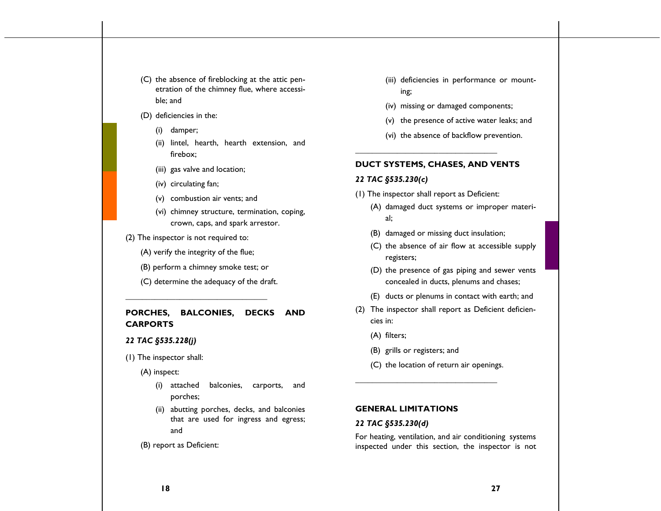- (C) the absence of fireblocking at the attic penetration of the chimney flue, where accessible; and
- (D) deficiencies in the:
	- (i) damper;
	- (ii) lintel, hearth, hearth extension, and firebox;
	- (iii) gas valve and location;
	- (iv) circulating fan;
	- (v) combustion air vents; and
	- (vi) chimney structure, termination, coping, crown, caps, and spark arrestor.
- (2) The inspector is not required to:
	- (A) verify the integrity of the flue;

**\_\_\_\_\_\_\_\_\_\_\_\_\_\_\_\_\_\_\_\_\_\_\_\_\_\_\_\_\_\_\_\_\_\_**

- (B) perform a chimney smoke test; or
- (C) determine the adequacy of the draft.

# **PORCHES, BALCONIES, DECKS AND CARPORTS**

### *22 TAC §535.228(j)*

(1) The inspector shall:

(A) inspect:

- (i) attached balconies, carports, and porches;
- (ii) abutting porches, decks, and balconies that are used for ingress and egress; and
- (B) report as Deficient:
- (iii) deficiencies in performance or mounting;
- (iv) missing or damaged components;
- (v) the presence of active water leaks; and
- (vi) the absence of backflow prevention.

### **DUCT SYSTEMS, CHASES, AND VENTS**

### *22 TAC §535.230(c)*

(1) The inspector shall report as Deficient:

**\_\_\_\_\_\_\_\_\_\_\_\_\_\_\_\_\_\_\_\_\_\_\_\_\_\_\_\_\_\_\_\_\_\_**

- (A) damaged duct systems or improper material;
- (B) damaged or missing duct insulation;
- (C) the absence of air flow at accessible supply registers;
- (D) the presence of gas piping and sewer vents concealed in ducts, plenums and chases;
- (E) ducts or plenums in contact with earth; and
- (2) The inspector shall report as Deficient deficiencies in:
	- (A) filters;
	- (B) grills or registers; and
	- (C) the location of return air openings.

**\_\_\_\_\_\_\_\_\_\_\_\_\_\_\_\_\_\_\_\_\_\_\_\_\_\_\_\_\_\_\_\_\_\_**

### **GENERAL LIMITATIONS**

### *22 TAC §535.230(d)*

For heating, ventilation, and air conditioning systems inspected under this section, the inspector is not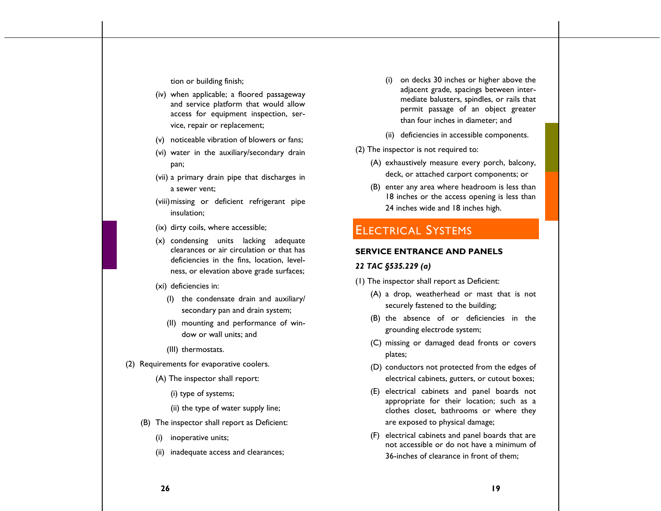tion or building finish;

- (iv) when applicable; a floored passageway and service platform that would allow access for equipment inspection, service, repair or replacement;
- (v) noticeable vibration of blowers or fans;
- (vi) water in the auxiliary/secondary drain pan;
- (vii) a primary drain pipe that discharges in a sewer vent;
- (viii)missing or deficient refrigerant pipe insulation;
- (ix) dirty coils, where accessible;
- (x) condensing units lacking adequate clearances or air circulation or that has deficiencies in the fins, location, levelness, or elevation above grade surfaces;
- (xi) deficiencies in:
	- (I) the condensate drain and auxiliary/ secondary pan and drain system;
	- (II) mounting and performance of window or wall units; and
	- (III) thermostats.
- (2) Requirements for evaporative coolers.
	- (A) The inspector shall report:
		- (i) type of systems;
		- (ii) the type of water supply line;
	- (B) The inspector shall report as Deficient:
		- (i) inoperative units;
		- (ii) inadequate access and clearances;
- (i) on decks 30 inches or higher above the adjacent grade, spacings between intermediate balusters, spindles, or rails that permit passage of an object greater than four inches in diameter; and
- (ii) deficiencies in accessible components.
- (2) The inspector is not required to:
	- (A) exhaustively measure every porch, balcony, deck, or attached carport components; or
	- (B) enter any area where headroom is less than 18 inches or the access opening is less than 24 inches wide and 18 inches high.

# ELECTRICAL SYSTEMS

### **SERVICE ENTRANCE AND PANELS**

### *22 TAC §535.229 (a)*

- (1) The inspector shall report as Deficient:
	- (A) a drop, weatherhead or mast that is not securely fastened to the building;
	- (B) the absence of or deficiencies in the grounding electrode system;
	- (C) missing or damaged dead fronts or covers plates;
	- (D) conductors not protected from the edges of electrical cabinets, gutters, or cutout boxes;
	- (E) electrical cabinets and panel boards not appropriate for their location; such as a clothes closet, bathrooms or where they are exposed to physical damage;
	- (F) electrical cabinets and panel boards that are not accessible or do not have a minimum of 36-inches of clearance in front of them;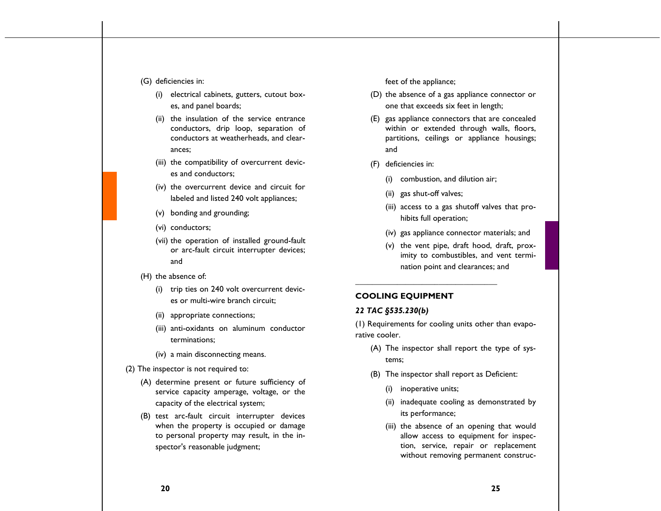### (G) deficiencies in:

- (i) electrical cabinets, gutters, cutout boxes, and panel boards;
- (ii) the insulation of the service entrance conductors, drip loop, separation of conductors at weatherheads, and clearances;
- (iii) the compatibility of overcurrent devices and conductors;
- (iv) the overcurrent device and circuit for labeled and listed 240 volt appliances;
- (v) bonding and grounding;
- (vi) conductors;
- (vii) the operation of installed ground-fault or arc-fault circuit interrupter devices; and

#### (H) the absence of:

- (i) trip ties on 240 volt overcurrent devices or multi-wire branch circuit;
- (ii) appropriate connections;
- (iii) anti-oxidants on aluminum conductor terminations;
- (iv) a main disconnecting means.
- (2) The inspector is not required to:
	- (A) determine present or future sufficiency of service capacity amperage, voltage, or the capacity of the electrical system;
	- (B) test arc-fault circuit interrupter devices when the property is occupied or damage to personal property may result, in the inspector's reasonable judgment;

feet of the appliance;

- (D) the absence of a gas appliance connector or one that exceeds six feet in length;
- (E) gas appliance connectors that are concealed within or extended through walls, floors, partitions, ceilings or appliance housings; and
- (F) deficiencies in:
	- (i) combustion, and dilution air;
	- (ii) gas shut-off valves;

**\_\_\_\_\_\_\_\_\_\_\_\_\_\_\_\_\_\_\_\_\_\_\_\_\_\_\_\_\_\_\_\_\_\_**

- (iii) access to a gas shutoff valves that prohibits full operation;
- (iv) gas appliance connector materials; and
- (v) the vent pipe, draft hood, draft, proximity to combustibles, and vent termination point and clearances; and

### **COOLING EQUIPMENT**

### *22 TAC §535.230(b)*

(1) Requirements for cooling units other than evaporative cooler.

- (A) The inspector shall report the type of systems;
- (B) The inspector shall report as Deficient:
	- (i) inoperative units;
	- (ii) inadequate cooling as demonstrated by its performance;
	- (iii) the absence of an opening that would allow access to equipment for inspection, service, repair or replacement without removing permanent construc-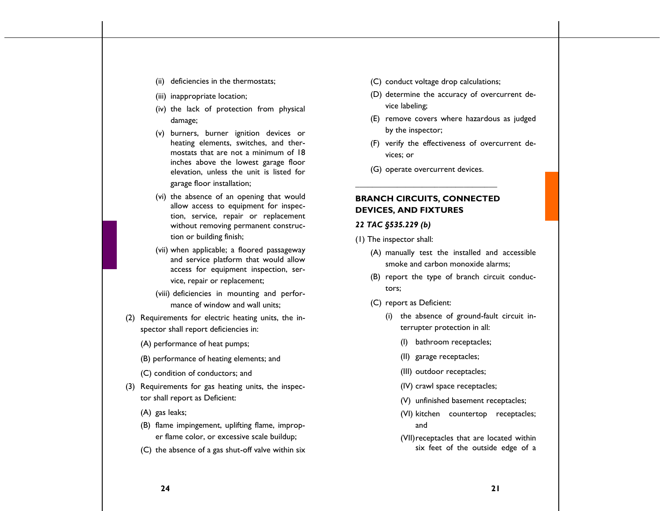- (ii) deficiencies in the thermostats;
- (iii) inappropriate location;
- (iv) the lack of protection from physical damage;
- (v) burners, burner ignition devices or heating elements, switches, and thermostats that are not a minimum of 18 inches above the lowest garage floor elevation, unless the unit is listed for garage floor installation;
- (vi) the absence of an opening that would allow access to equipment for inspection, service, repair or replacement without removing permanent construction or building finish;
- (vii) when applicable; a floored passageway and service platform that would allow access for equipment inspection, service, repair or replacement;
- (viii) deficiencies in mounting and performance of window and wall units;
- (2) Requirements for electric heating units, the inspector shall report deficiencies in:
	- (A) performance of heat pumps;
	- (B) performance of heating elements; and
	- (C) condition of conductors; and
- (3) Requirements for gas heating units, the inspector shall report as Deficient:
	- (A) gas leaks;
	- (B) flame impingement, uplifting flame, improper flame color, or excessive scale buildup;
	- (C) the absence of a gas shut-off valve within six
- (C) conduct voltage drop calculations;
- (D) determine the accuracy of overcurrent device labeling;
- (E) remove covers where hazardous as judged by the inspector;
- (F) verify the effectiveness of overcurrent devices; or
- (G) operate overcurrent devices. **\_\_\_\_\_\_\_\_\_\_\_\_\_\_\_\_\_\_\_\_\_\_\_\_\_\_\_\_\_\_\_\_\_\_**

# **BRANCH CIRCUITS, CONNECTED DEVICES, AND FIXTURES**

### *22 TAC §535.229 (b)*

- (1) The inspector shall:
	- (A) manually test the installed and accessible smoke and carbon monoxide alarms;
	- (B) report the type of branch circuit conductors;
	- (C) report as Deficient:
		- (i) the absence of ground-fault circuit interrupter protection in all:
			- (I) bathroom receptacles;
			- (II) garage receptacles;
			- (III) outdoor receptacles;
			- (IV) crawl space receptacles;
			- (V) unfinished basement receptacles;
			- (VI) kitchen countertop receptacles; and
			- (VII)receptacles that are located within six feet of the outside edge of a